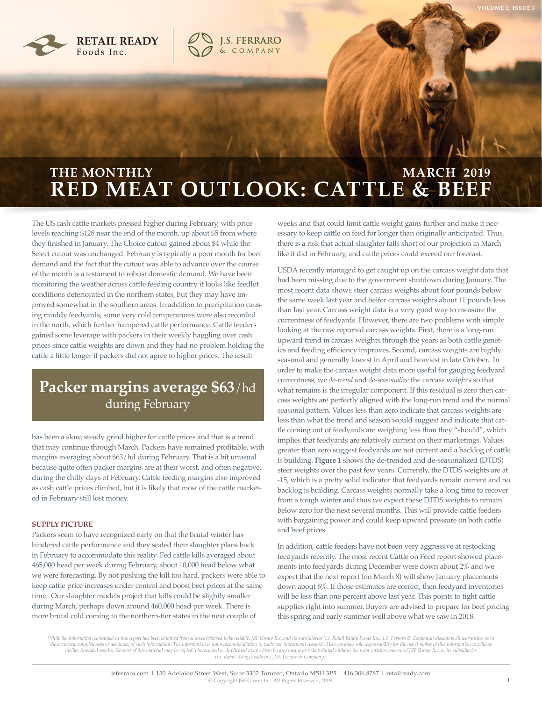



# **RED MEAT OUTLOOK: CATTLE & BEEF THE MONTHLY COMMUNISTIES AND MARCH 2019**

**J.S. FERRARO**<br>& COMPANY

The US cash cattle markets pressed higher during February, with price levels reaching \$128 near the end of the month, up about \$5 from where they finished in January. The Choice cutout gained about \$4 while the Select cutout was unchanged. February is typically a poor month for beef demand and the fact that the cutout was able to advance over the course of the month is a testament to robust domestic demand. We have been monitoring the weather across cattle feeding country it looks like feedlot conditions deteriorated in the northern states, but they may have improved somewhat in the southern areas. In addition to precipitation causing muddy feedyards, some very cold temperatures were also recorded in the north, which further hampered cattle performance. Cattle feeders gained some leverage with packers in their weekly haggling over cash prices since cattle weights are down and they had no problem holding the cattle a little longer if packers did not agree to higher prices. The result

## **Packer margins average \$63**/hd during February

has been a slow, steady grind higher for cattle prices and that is a trend that may continue through March. Packers have remained profitable, with margins averaging about \$63/hd during February. That is a bit unusual because quite often packer margins are at their worst, and often negative, during the chilly days of February. Cattle feeding margins also improved as cash cattle prices climbed, but it is likely that most of the cattle marketed in February still lost money.

#### **SUPPLY PICTURE**

Packers seem to have recognized early on that the brutal winter has hindered cattle performance and they scaled their slaughter plans back in February to accommodate this reality. Fed cattle kills averaged about 465,000 head per week during February, about 10,000 head below what we were forecasting. By not pushing the kill too hard, packers were able to keep cattle price increases under control and boost beef prices at the same time. Our slaughter models project that kills could be slightly smaller during March, perhaps down around 460,000 head per week. There is more brutal cold coming to the northern-tier states in the next couple of

weeks and that could limit cattle weight gains further and make it necessary to keep cattle on feed for longer than originally anticipated. Thus, there is a risk that actual slaughter falls short of our projection in March like it did in February, and cattle prices could exceed our forecast.

USDA recently managed to get caught up on the carcass weight data that had been missing due to the government shutdown during January. The most recent data shows steer carcass weights about four pounds below the same week last year and heifer carcass weights about 11 pounds less than last year. Carcass weight data is a very good way to measure the currentness of feedyards. However, there are two problems with simply looking at the raw reported carcass weights. First, there is a long-run upward trend in carcass weights through the years as both cattle genetics and feeding efficiency improves. Second, carcass weights are highly seasonal and generally lowest in April and heaviest in late October. In order to make the carcass weight data more useful for gauging feedyard currentness, we *de-trend* and *de-seasonalize* the carcass weights so that what remains is the irregular component. If this residual is zero then carcass weights are perfectly aligned with the long-run trend and the normal seasonal pattern. Values less than zero indicate that carcass weights are less than what the trend and season would suggest and indicate that cattle coming out of feedyards are weighing less than they "should", which implies that feedyards are relatively current on their marketings. Values greater than zero suggest feedyards are not current and a backlog of cattle is building. **Figure 1** shows the de-trended and de-seasonalized (DTDS) steer weights over the past few years. Currently, the DTDS weights are at -15, which is a pretty solid indicator that feedyards remain current and no backlog is building. Carcass weights normally take a long time to recover from a tough winter and thus we expect these DTDS weights to remain below zero for the next several months. This will provide cattle feeders with bargaining power and could keep upward pressure on both cattle and beef prices.

In addition, cattle feeders have not been very aggressive at restocking feedyards recently. The most recent Cattle on Feed report showed placements into feedyards during December were down about 2% and we expect that the next report (on March 8) will show January placements down about 6%. If those estimates are correct, then feedyard inventories will be less than one percent above last year. This points to tight cattle supplies right into summer. Buyers are advised to prepare for beef pricing this spring and early summer well above what we saw in 2018.

While the information contained in this report has been obtained from sources believed to be reliable, JSF Group Inc. and its subsidiaries (i.e. Retail Ready Foods Inc., J.S. Ferraro & Company) disclaims all warranties as the accuracy, completeness or adequacy of such information. The information is not a recommendation to trade nor investment research. User assumes sole responsibility for the use it makes of this information to achiev his/her intended results. No part of this material may be copied, photocopied or duplicated in any form by any means or redistributed without the prior written consent of JSF Group Inc. or its subsidiaries (i.e. Retail Rea